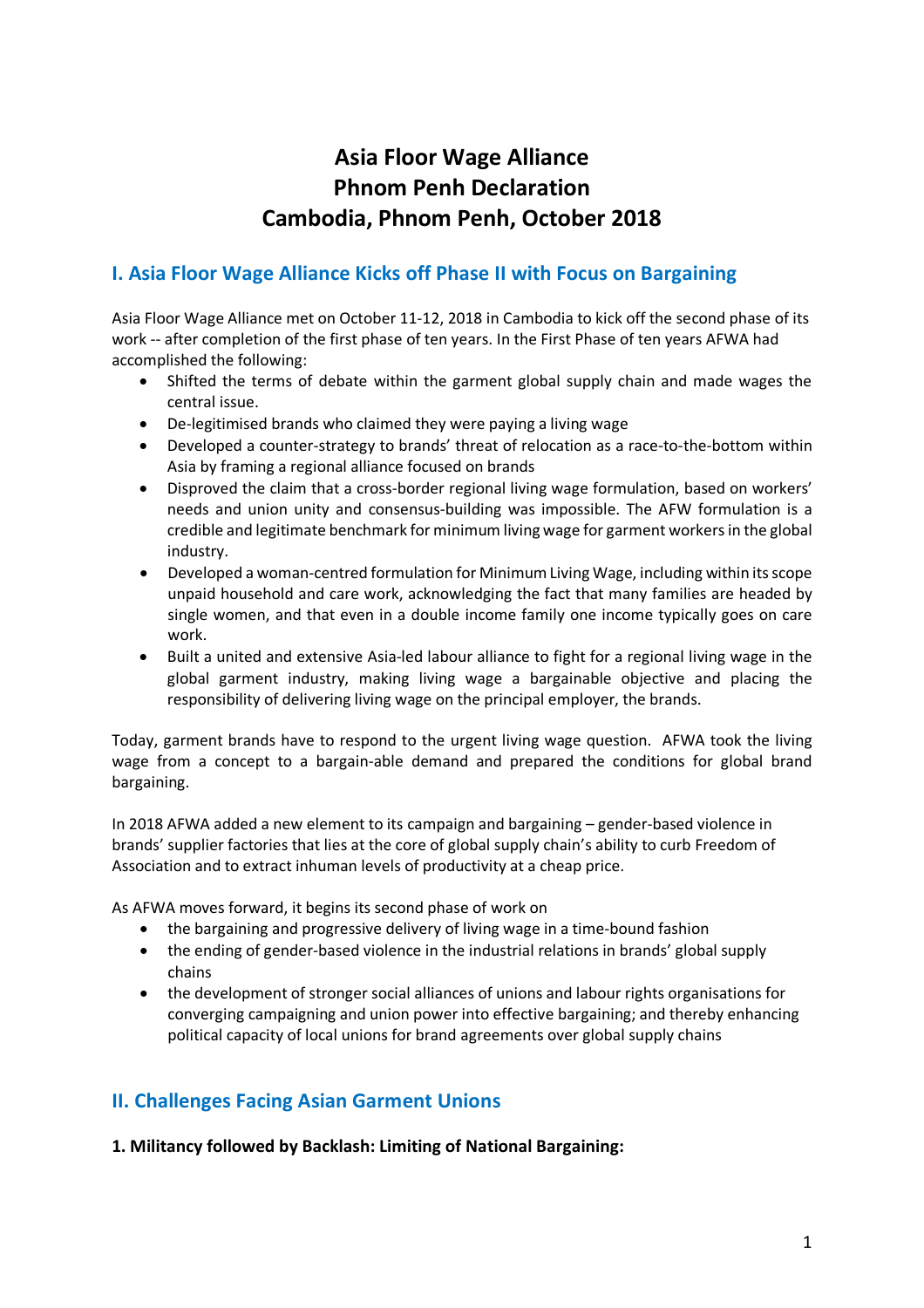# **Asia Floor Wage Alliance Phnom Penh Declaration Cambodia, Phnom Penh, October 2018**

## **I. Asia Floor Wage Alliance Kicks off Phase II with Focus on Bargaining**

Asia Floor Wage Alliance met on October 11-12, 2018 in Cambodia to kick off the second phase of its work -- after completion of the first phase of ten years. In the First Phase of ten years AFWA had accomplished the following:

- Shifted the terms of debate within the garment global supply chain and made wages the central issue.
- De-legitimised brands who claimed they were paying a living wage
- Developed a counter-strategy to brands' threat of relocation as a race-to-the-bottom within Asia by framing a regional alliance focused on brands
- Disproved the claim that a cross-border regional living wage formulation, based on workers' needs and union unity and consensus-building was impossible. The AFW formulation is a credible and legitimate benchmark for minimum living wage for garment workersin the global industry.
- Developed a woman-centred formulation for Minimum Living Wage, including within its scope unpaid household and care work, acknowledging the fact that many families are headed by single women, and that even in a double income family one income typically goes on care work.
- Built a united and extensive Asia-led labour alliance to fight for a regional living wage in the global garment industry, making living wage a bargainable objective and placing the responsibility of delivering living wage on the principal employer, the brands.

Today, garment brands have to respond to the urgent living wage question. AFWA took the living wage from a concept to a bargain-able demand and prepared the conditions for global brand bargaining.

In 2018 AFWA added a new element to its campaign and bargaining – gender-based violence in brands' supplier factories that lies at the core of global supply chain's ability to curb Freedom of Association and to extract inhuman levels of productivity at a cheap price.

As AFWA moves forward, it begins its second phase of work on

- the bargaining and progressive delivery of living wage in a time-bound fashion
- the ending of gender-based violence in the industrial relations in brands' global supply chains
- the development of stronger social alliances of unions and labour rights organisations for converging campaigning and union power into effective bargaining; and thereby enhancing political capacity of local unions for brand agreements over global supply chains

# **II. Challenges Facing Asian Garment Unions**

**1. Militancy followed by Backlash: Limiting of National Bargaining:**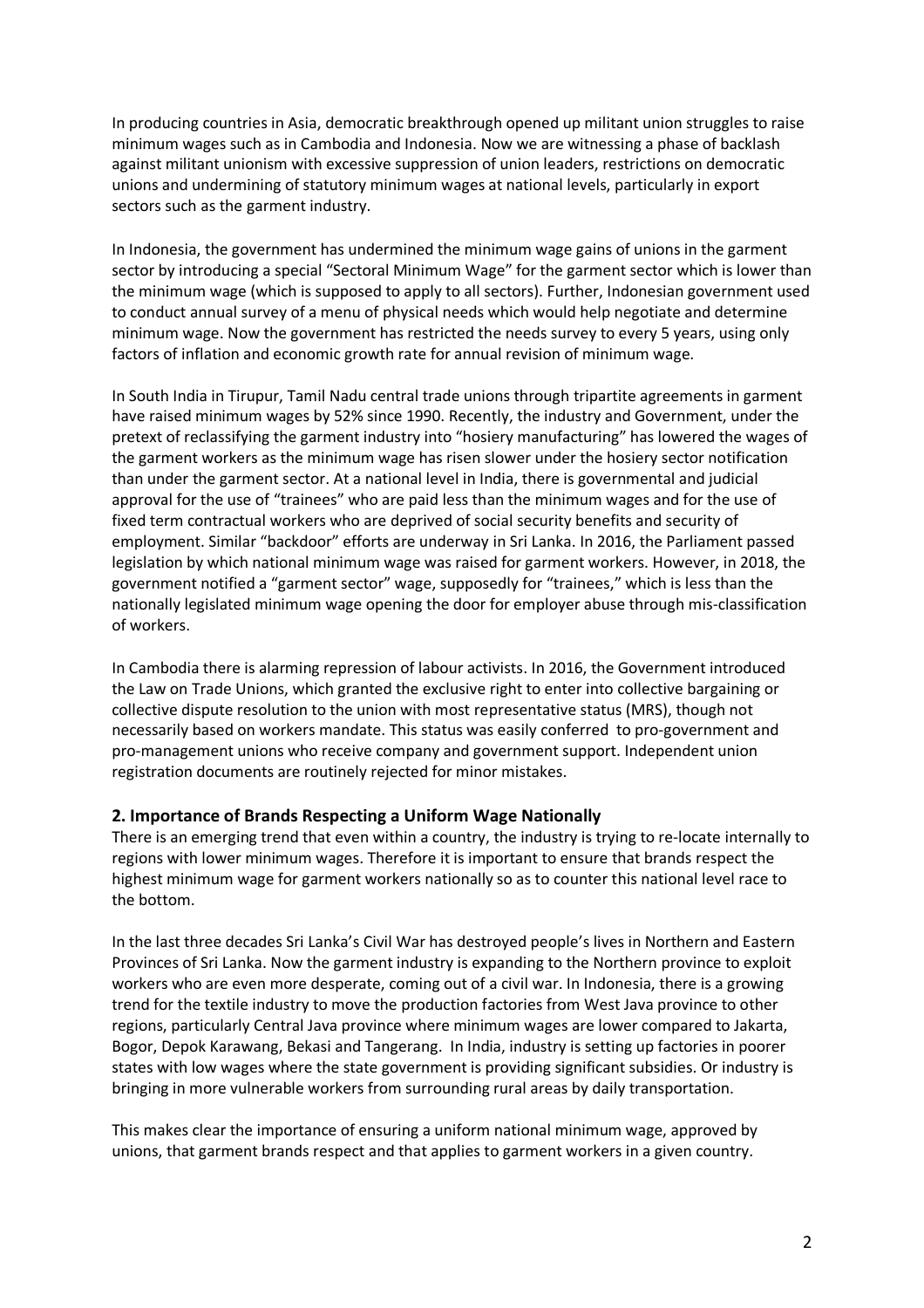In producing countries in Asia, democratic breakthrough opened up militant union struggles to raise minimum wages such as in Cambodia and Indonesia. Now we are witnessing a phase of backlash against militant unionism with excessive suppression of union leaders, restrictions on democratic unions and undermining of statutory minimum wages at national levels, particularly in export sectors such as the garment industry.

In Indonesia, the government has undermined the minimum wage gains of unions in the garment sector by introducing a special "Sectoral Minimum Wage" for the garment sector which is lower than the minimum wage (which is supposed to apply to all sectors). Further, Indonesian government used to conduct annual survey of a menu of physical needs which would help negotiate and determine minimum wage. Now the government has restricted the needs survey to every 5 years, using only factors of inflation and economic growth rate for annual revision of minimum wage.

In South India in Tirupur, Tamil Nadu central trade unions through tripartite agreements in garment have raised minimum wages by 52% since 1990. Recently, the industry and Government, under the pretext of reclassifying the garment industry into "hosiery manufacturing" has lowered the wages of the garment workers as the minimum wage has risen slower under the hosiery sector notification than under the garment sector. At a national level in India, there is governmental and judicial approval for the use of "trainees" who are paid less than the minimum wages and for the use of fixed term contractual workers who are deprived of social security benefits and security of employment. Similar "backdoor" efforts are underway in Sri Lanka. In 2016, the Parliament passed legislation by which national minimum wage was raised for garment workers. However, in 2018, the government notified a "garment sector" wage, supposedly for "trainees," which is less than the nationally legislated minimum wage opening the door for employer abuse through mis-classification of workers.

In Cambodia there is alarming repression of labour activists. In 2016, the Government introduced the Law on Trade Unions, which granted the exclusive right to enter into collective bargaining or collective dispute resolution to the union with most representative status (MRS), though not necessarily based on workers mandate. This status was easily conferred to pro-government and pro-management unions who receive company and government support. Independent union registration documents are routinely rejected for minor mistakes.

#### **2. Importance of Brands Respecting a Uniform Wage Nationally**

There is an emerging trend that even within a country, the industry is trying to re-locate internally to regions with lower minimum wages. Therefore it is important to ensure that brands respect the highest minimum wage for garment workers nationally so as to counter this national level race to the bottom.

In the last three decades Sri Lanka's Civil War has destroyed people's lives in Northern and Eastern Provinces of Sri Lanka. Now the garment industry is expanding to the Northern province to exploit workers who are even more desperate, coming out of a civil war. In Indonesia, there is a growing trend for the textile industry to move the production factories from West Java province to other regions, particularly Central Java province where minimum wages are lower compared to Jakarta, Bogor, Depok Karawang, Bekasi and Tangerang. In India, industry is setting up factories in poorer states with low wages where the state government is providing significant subsidies. Or industry is bringing in more vulnerable workers from surrounding rural areas by daily transportation.

This makes clear the importance of ensuring a uniform national minimum wage, approved by unions, that garment brands respect and that applies to garment workers in a given country.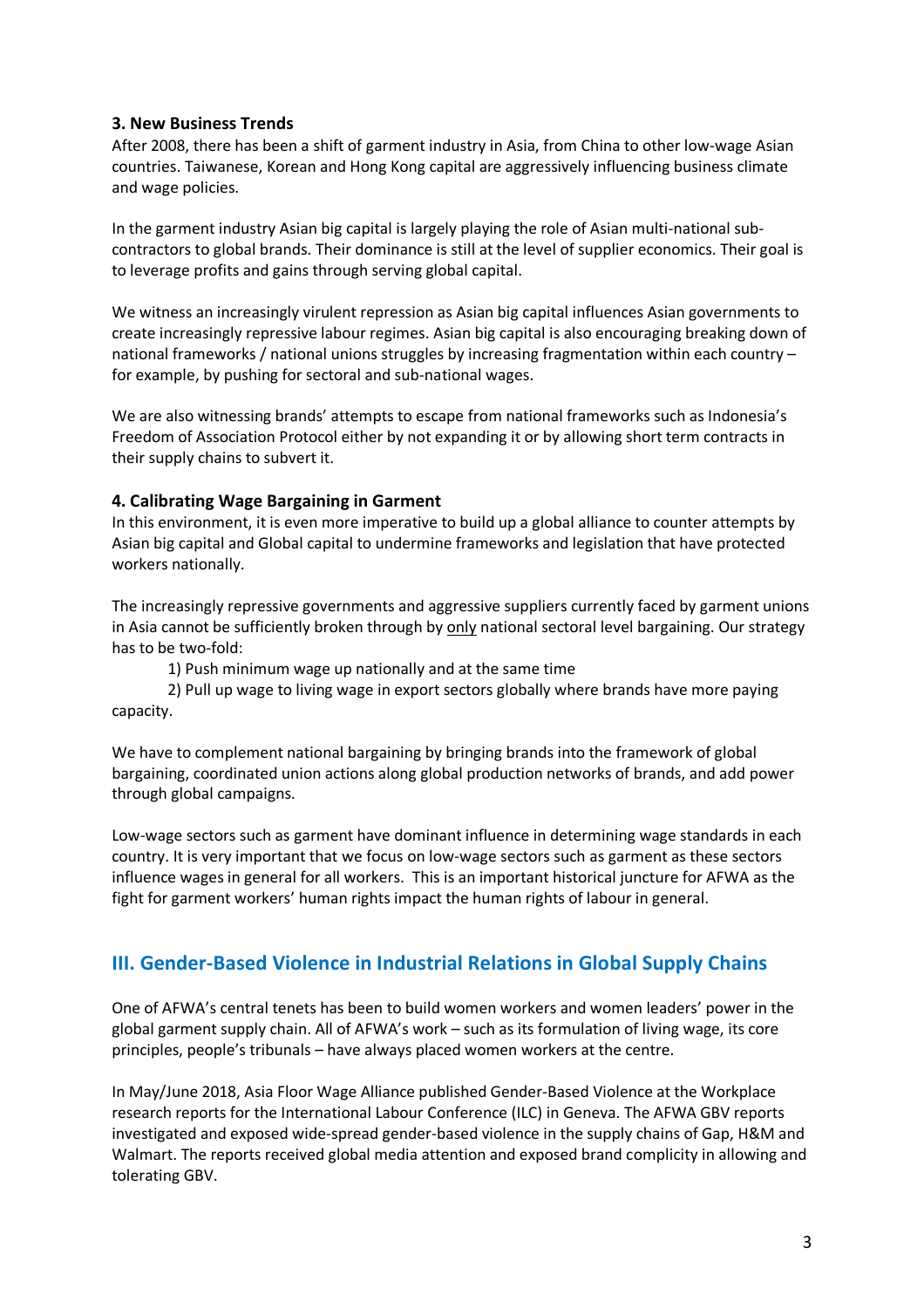#### **3. New Business Trends**

After 2008, there has been a shift of garment industry in Asia, from China to other low-wage Asian countries. Taiwanese, Korean and Hong Kong capital are aggressively influencing business climate and wage policies.

In the garment industry Asian big capital is largely playing the role of Asian multi-national subcontractors to global brands. Their dominance is still at the level of supplier economics. Their goal is to leverage profits and gains through serving global capital.

We witness an increasingly virulent repression as Asian big capital influences Asian governments to create increasingly repressive labour regimes. Asian big capital is also encouraging breaking down of national frameworks / national unions struggles by increasing fragmentation within each country – for example, by pushing for sectoral and sub-national wages.

We are also witnessing brands' attempts to escape from national frameworks such as Indonesia's Freedom of Association Protocol either by not expanding it or by allowing short term contracts in their supply chains to subvert it.

#### **4. Calibrating Wage Bargaining in Garment**

In this environment, it is even more imperative to build up a global alliance to counter attempts by Asian big capital and Global capital to undermine frameworks and legislation that have protected workers nationally.

The increasingly repressive governments and aggressive suppliers currently faced by garment unions in Asia cannot be sufficiently broken through by only national sectoral level bargaining. Our strategy has to be two-fold:

1) Push minimum wage up nationally and at the same time

2) Pull up wage to living wage in export sectors globally where brands have more paying capacity.

We have to complement national bargaining by bringing brands into the framework of global bargaining, coordinated union actions along global production networks of brands, and add power through global campaigns.

Low-wage sectors such as garment have dominant influence in determining wage standards in each country. It is very important that we focus on low-wage sectors such as garment as these sectors influence wages in general for all workers. This is an important historical juncture for AFWA as the fight for garment workers' human rights impact the human rights of labour in general.

## **III. Gender-Based Violence in Industrial Relations in Global Supply Chains**

One of AFWA's central tenets has been to build women workers and women leaders' power in the global garment supply chain. All of AFWA's work – such as its formulation of living wage, its core principles, people's tribunals – have always placed women workers at the centre.

In May/June 2018, Asia Floor Wage Alliance published Gender-Based Violence at the Workplace research reports for the International Labour Conference (ILC) in Geneva. The AFWA GBV reports investigated and exposed wide-spread gender-based violence in the supply chains of Gap, H&M and Walmart. The reports received global media attention and exposed brand complicity in allowing and tolerating GBV.